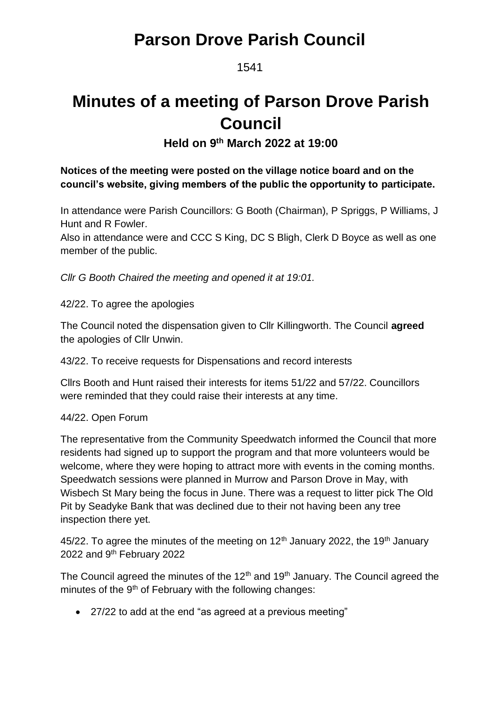1541

# **Minutes of a meeting of Parson Drove Parish Council**

**Held on 9 th March 2022 at 19:00**

### **Notices of the meeting were posted on the village notice board and on the council's website, giving members of the public the opportunity to participate.**

In attendance were Parish Councillors: G Booth (Chairman), P Spriggs, P Williams, J Hunt and R Fowler.

Also in attendance were and CCC S King, DC S Bligh, Clerk D Boyce as well as one member of the public.

*Cllr G Booth Chaired the meeting and opened it at 19:01.*

42/22. To agree the apologies

The Council noted the dispensation given to Cllr Killingworth. The Council **agreed** the apologies of Cllr Unwin.

43/22. To receive requests for Dispensations and record interests

Cllrs Booth and Hunt raised their interests for items 51/22 and 57/22. Councillors were reminded that they could raise their interests at any time.

### 44/22. Open Forum

The representative from the Community Speedwatch informed the Council that more residents had signed up to support the program and that more volunteers would be welcome, where they were hoping to attract more with events in the coming months. Speedwatch sessions were planned in Murrow and Parson Drove in May, with Wisbech St Mary being the focus in June. There was a request to litter pick The Old Pit by Seadyke Bank that was declined due to their not having been any tree inspection there yet.

45/22. To agree the minutes of the meeting on  $12<sup>th</sup>$  January 2022, the 19<sup>th</sup> January 2022 and 9th February 2022

The Council agreed the minutes of the  $12<sup>th</sup>$  and  $19<sup>th</sup>$  January. The Council agreed the minutes of the  $9<sup>th</sup>$  of February with the following changes:

• 27/22 to add at the end "as agreed at a previous meeting"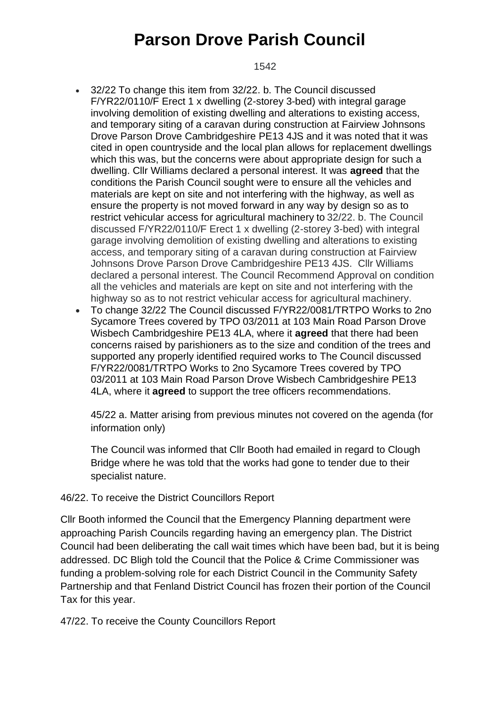#### 1542

- 32/22 To change this item from 32/22. b. The Council discussed F/YR22/0110/F Erect 1 x dwelling (2-storey 3-bed) with integral garage involving demolition of existing dwelling and alterations to existing access, and temporary siting of a caravan during construction at Fairview Johnsons Drove Parson Drove Cambridgeshire PE13 4JS and it was noted that it was cited in open countryside and the local plan allows for replacement dwellings which this was, but the concerns were about appropriate design for such a dwelling. Cllr Williams declared a personal interest. It was **agreed** that the conditions the Parish Council sought were to ensure all the vehicles and materials are kept on site and not interfering with the highway, as well as ensure the property is not moved forward in any way by design so as to restrict vehicular access for agricultural machinery to 32/22. b. The Council discussed F/YR22/0110/F Erect 1 x dwelling (2-storey 3-bed) with integral garage involving demolition of existing dwelling and alterations to existing access, and temporary siting of a caravan during construction at Fairview Johnsons Drove Parson Drove Cambridgeshire PE13 4JS. Cllr Williams declared a personal interest. The Council Recommend Approval on condition all the vehicles and materials are kept on site and not interfering with the highway so as to not restrict vehicular access for agricultural machinery.
- To change 32/22 The Council discussed F/YR22/0081/TRTPO Works to 2no Sycamore Trees covered by TPO 03/2011 at 103 Main Road Parson Drove Wisbech Cambridgeshire PE13 4LA, where it **agreed** that there had been concerns raised by parishioners as to the size and condition of the trees and supported any properly identified required works to The Council discussed F/YR22/0081/TRTPO Works to 2no Sycamore Trees covered by TPO 03/2011 at 103 Main Road Parson Drove Wisbech Cambridgeshire PE13 4LA, where it **agreed** to support the tree officers recommendations.

45/22 a. Matter arising from previous minutes not covered on the agenda (for information only)

The Council was informed that Cllr Booth had emailed in regard to Clough Bridge where he was told that the works had gone to tender due to their specialist nature.

#### 46/22. To receive the District Councillors Report

Cllr Booth informed the Council that the Emergency Planning department were approaching Parish Councils regarding having an emergency plan. The District Council had been deliberating the call wait times which have been bad, but it is being addressed. DC Bligh told the Council that the Police & Crime Commissioner was funding a problem-solving role for each District Council in the Community Safety Partnership and that Fenland District Council has frozen their portion of the Council Tax for this year.

47/22. To receive the County Councillors Report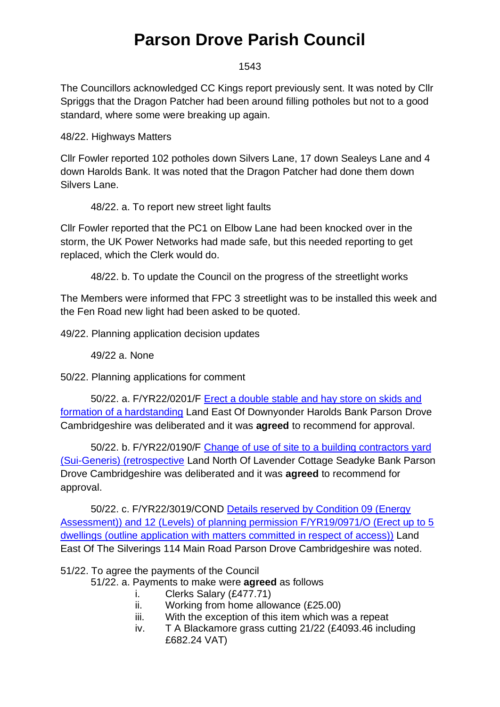#### 1543

The Councillors acknowledged CC Kings report previously sent. It was noted by Cllr Spriggs that the Dragon Patcher had been around filling potholes but not to a good standard, where some were breaking up again.

48/22. Highways Matters

Cllr Fowler reported 102 potholes down Silvers Lane, 17 down Sealeys Lane and 4 down Harolds Bank. It was noted that the Dragon Patcher had done them down Silvers Lane.

48/22. a. To report new street light faults

Cllr Fowler reported that the PC1 on Elbow Lane had been knocked over in the storm, the UK Power Networks had made safe, but this needed reporting to get replaced, which the Clerk would do.

48/22. b. To update the Council on the progress of the streetlight works

The Members were informed that FPC 3 streetlight was to be installed this week and the Fen Road new light had been asked to be quoted.

49/22. Planning application decision updates

49/22 a. None

50/22. Planning applications for comment

50/22. a. F/YR22/0201/F [Erect a double stable and hay store on skids and](https://www.publicaccess.fenland.gov.uk/publicaccess/applicationDetails.do?keyVal=R6OK5CHE0D800&activeTab=summary)  [formation of a hardstanding](https://www.publicaccess.fenland.gov.uk/publicaccess/applicationDetails.do?keyVal=R6OK5CHE0D800&activeTab=summary) Land East Of Downyonder Harolds Bank Parson Drove Cambridgeshire was deliberated and it was **agreed** to recommend for approval.

50/22. b. F/YR22/0190/F [Change of use of site to a building contractors yard](https://www.publicaccess.fenland.gov.uk/publicaccess/applicationDetails.do?keyVal=R71YZUHE06P00&activeTab=summary)  [\(Sui-Generis\) \(retrospective](https://www.publicaccess.fenland.gov.uk/publicaccess/applicationDetails.do?keyVal=R71YZUHE06P00&activeTab=summary) Land North Of Lavender Cottage Seadyke Bank Parson Drove Cambridgeshire was deliberated and it was **agreed** to recommend for approval.

50/22. c. F/YR22/3019/COND [Details reserved by Condition 09 \(Energy](https://www.publicaccess.fenland.gov.uk/publicaccess/applicationDetails.do?keyVal=R7GAY1HE0D800&activeTab=summary)  [Assessment\)\) and 12 \(Levels\) of planning permission F/YR19/0971/O \(Erect up to 5](https://www.publicaccess.fenland.gov.uk/publicaccess/applicationDetails.do?keyVal=R7GAY1HE0D800&activeTab=summary)  dwellings (outline application with [matters committed in respect of access\)\)](https://www.publicaccess.fenland.gov.uk/publicaccess/applicationDetails.do?keyVal=R7GAY1HE0D800&activeTab=summary) Land East Of The Silverings 114 Main Road Parson Drove Cambridgeshire was noted.

51/22. To agree the payments of the Council

51/22. a. Payments to make were **agreed** as follows

- i. Clerks Salary (£477.71)
- ii. Working from home allowance (£25.00)
- iii. With the exception of this item which was a repeat
- iv. T A Blackamore grass cutting 21/22 (£4093.46 including £682.24 VAT)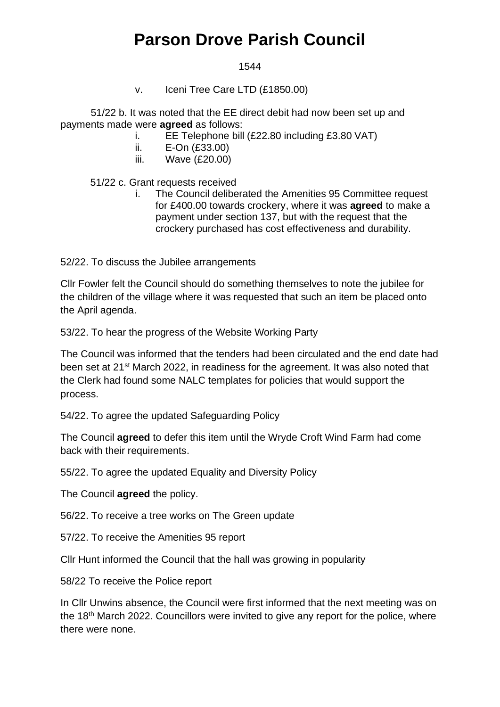#### 1544

v. Iceni Tree Care LTD (£1850.00)

51/22 b. It was noted that the EE direct debit had now been set up and payments made were **agreed** as follows:

- i. EE Telephone bill (£22.80 including £3.80 VAT)
- ii. E-On (£33.00)
- iii. Wave (£20.00)

51/22 c. Grant requests received

i. The Council deliberated the Amenities 95 Committee request for £400.00 towards crockery, where it was **agreed** to make a payment under section 137, but with the request that the crockery purchased has cost effectiveness and durability.

52/22. To discuss the Jubilee arrangements

Cllr Fowler felt the Council should do something themselves to note the jubilee for the children of the village where it was requested that such an item be placed onto the April agenda.

53/22. To hear the progress of the Website Working Party

The Council was informed that the tenders had been circulated and the end date had been set at 21st March 2022, in readiness for the agreement. It was also noted that the Clerk had found some NALC templates for policies that would support the process.

54/22. To agree the updated Safeguarding Policy

The Council **agreed** to defer this item until the Wryde Croft Wind Farm had come back with their requirements.

55/22. To agree the updated Equality and Diversity Policy

The Council **agreed** the policy.

56/22. To receive a tree works on The Green update

57/22. To receive the Amenities 95 report

Cllr Hunt informed the Council that the hall was growing in popularity

58/22 To receive the Police report

In Cllr Unwins absence, the Council were first informed that the next meeting was on the 18<sup>th</sup> March 2022. Councillors were invited to give any report for the police, where there were none.